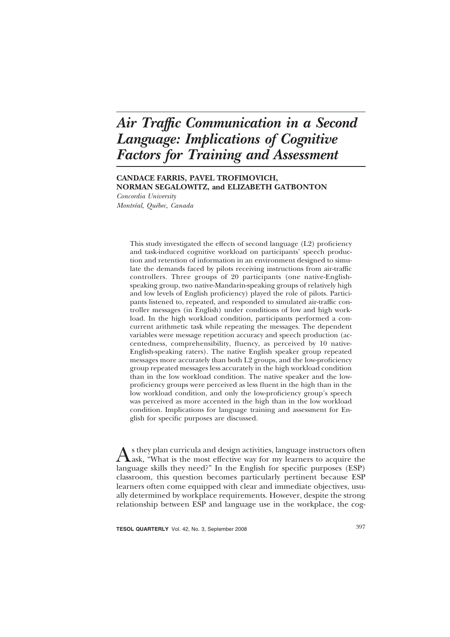# Air Traffic Communication in a Second **Language: Implications of Cognitive Factors for Training and Assessment**

## CANDACE FARRIS, PAVEL TROFIMOVICH, NORMAN SEGALOWITZ, and ELIZABETH GATBONTON

Concordia University Montréal, Québec, Canada

> This study investigated the effects of second language (L2) proficiency and task-induced cognitive workload on participants' speech production and retention of information in an environment designed to simulate the demands faced by pilots receiving instructions from air-traffic controllers. Three groups of 20 participants (one native-Englishspeaking group, two native-Mandarin-speaking groups of relatively high and low levels of English proficiency) played the role of pilots. Participants listened to, repeated, and responded to simulated air-traffic controller messages (in English) under conditions of low and high workload. In the high workload condition, participants performed a concurrent arithmetic task while repeating the messages. The dependent variables were message repetition accuracy and speech production (accentedness, comprehensibility, fluency, as perceived by 10 native-English-speaking raters). The native English speaker group repeated messages more accurately than both L2 groups, and the low-proficiency group repeated messages less accurately in the high workload condition than in the low workload condition. The native speaker and the lowproficiency groups were perceived as less fluent in the high than in the low workload condition, and only the low-proficiency group's speech was perceived as more accented in the high than in the low workload condition. Implications for language training and assessment for English for specific purposes are discussed.

s they plan curricula and design activities, language instructors often Lask, "What is the most effective way for my learners to acquire the language skills they need?" In the English for specific purposes (ESP) classroom, this question becomes particularly pertinent because ESP learners often come equipped with clear and immediate objectives, usually determined by workplace requirements. However, despite the strong relationship between ESP and language use in the workplace, the cog-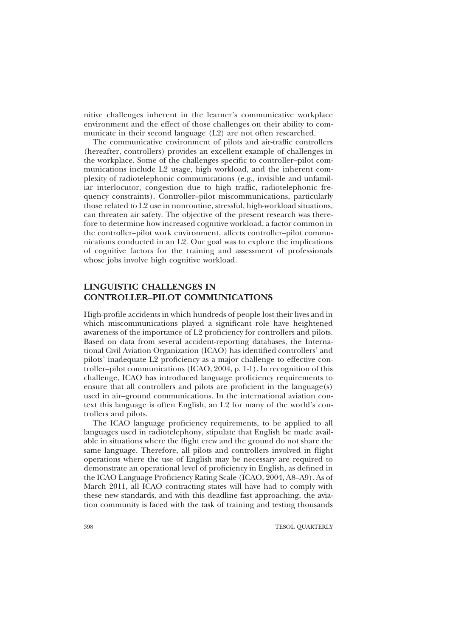nitive challenges inherent in the learner's communicative workplace environment and the effect of those challenges on their ability to communicate in their second language (L2) are not often researched.

The communicative environment of pilots and air-traffic controllers (hereafter, controllers) provides an excellent example of challenges in the workplace. Some of the challenges specific to controller-pilot communications include L2 usage, high workload, and the inherent complexity of radiotelephonic communications (e.g., invisible and unfamiliar interlocutor, congestion due to high traffic, radiotelephonic frequency constraints). Controller-pilot miscommunications, particularly those related to L2 use in nonroutine, stressful, high-workload situations, can threaten air safety. The objective of the present research was therefore to determine how increased cognitive workload, a factor common in the controller-pilot work environment, affects controller-pilot communications conducted in an L2. Our goal was to explore the implications of cognitive factors for the training and assessment of professionals whose jobs involve high cognitive workload.

# **LINGUISTIC CHALLENGES IN CONTROLLER-PILOT COMMUNICATIONS**

High-profile accidents in which hundreds of people lost their lives and in which miscommunications played a significant role have heightened awareness of the importance of L2 proficiency for controllers and pilots. Based on data from several accident-reporting databases, the International Civil Aviation Organization (ICAO) has identified controllers' and pilots' inadequate L2 proficiency as a major challenge to effective controller-pilot communications (ICAO, 2004, p. 1-1). In recognition of this challenge, ICAO has introduced language proficiency requirements to ensure that all controllers and pilots are proficient in the language $(s)$ used in air-ground communications. In the international aviation context this language is often English, an L2 for many of the world's controllers and pilots.

The ICAO language proficiency requirements, to be applied to all languages used in radiotelephony, stipulate that English be made available in situations where the flight crew and the ground do not share the same language. Therefore, all pilots and controllers involved in flight operations where the use of English may be necessary are required to demonstrate an operational level of proficiency in English, as defined in the ICAO Language Proficiency Rating Scale (ICAO, 2004, A8–A9). As of March 2011, all ICAO contracting states will have had to comply with these new standards, and with this deadline fast approaching, the aviation community is faced with the task of training and testing thousands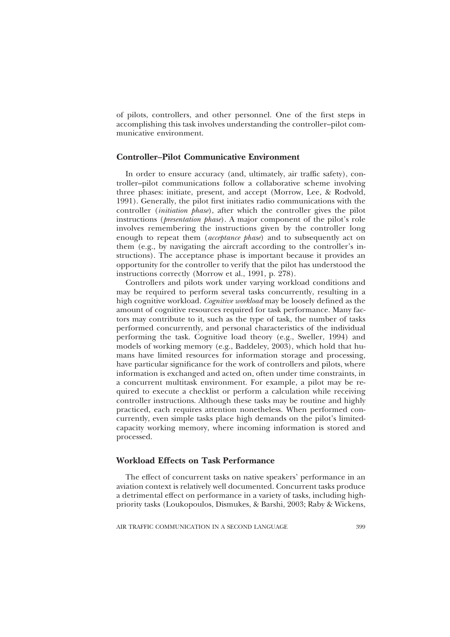of pilots, controllers, and other personnel. One of the first steps in accomplishing this task involves understanding the controller-pilot communicative environment.

# **Controller-Pilot Communicative Environment**

In order to ensure accuracy (and, ultimately, air traffic safety), controller-pilot communications follow a collaborative scheme involving three phases: initiate, present, and accept (Morrow, Lee, & Rodvold, 1991). Generally, the pilot first initiates radio communications with the controller *(initiation phase)*, after which the controller gives the pilot instructions (*presentation phase*). A major component of the pilot's role involves remembering the instructions given by the controller long enough to repeat them (acceptance phase) and to subsequently act on them (e.g., by navigating the aircraft according to the controller's instructions). The acceptance phase is important because it provides an opportunity for the controller to verify that the pilot has understood the instructions correctly (Morrow et al., 1991, p. 278).

Controllers and pilots work under varying workload conditions and may be required to perform several tasks concurrently, resulting in a high cognitive workload. *Cognitive workload* may be loosely defined as the amount of cognitive resources required for task performance. Many factors may contribute to it, such as the type of task, the number of tasks performed concurrently, and personal characteristics of the individual performing the task. Cognitive load theory (e.g., Sweller, 1994) and models of working memory (e.g., Baddeley, 2003), which hold that humans have limited resources for information storage and processing, have particular significance for the work of controllers and pilots, where information is exchanged and acted on, often under time constraints, in a concurrent multitask environment. For example, a pilot may be required to execute a checklist or perform a calculation while receiving controller instructions. Although these tasks may be routine and highly practiced, each requires attention nonetheless. When performed concurrently, even simple tasks place high demands on the pilot's limitedcapacity working memory, where incoming information is stored and processed.

# **Workload Effects on Task Performance**

The effect of concurrent tasks on native speakers' performance in an aviation context is relatively well documented. Concurrent tasks produce a detrimental effect on performance in a variety of tasks, including highpriority tasks (Loukopoulos, Dismukes, & Barshi, 2003; Raby & Wickens,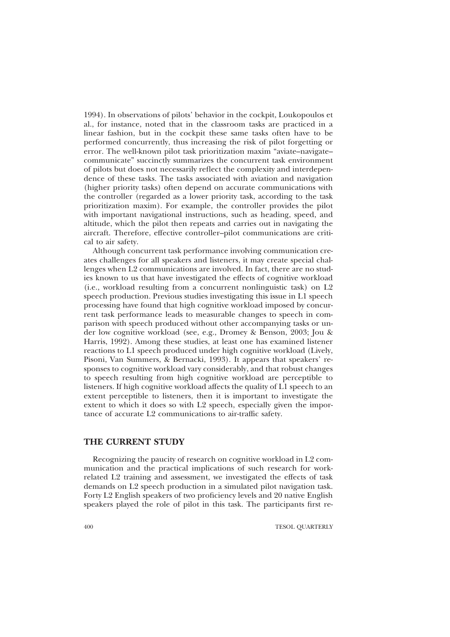1994). In observations of pilots' behavior in the cockpit, Loukopoulos et al., for instance, noted that in the classroom tasks are practiced in a linear fashion, but in the cockpit these same tasks often have to be performed concurrently, thus increasing the risk of pilot forgetting or error. The well-known pilot task prioritization maxim "aviate-navigatecommunicate" succinctly summarizes the concurrent task environment of pilots but does not necessarily reflect the complexity and interdependence of these tasks. The tasks associated with aviation and navigation (higher priority tasks) often depend on accurate communications with the controller (regarded as a lower priority task, according to the task prioritization maxim). For example, the controller provides the pilot with important navigational instructions, such as heading, speed, and altitude, which the pilot then repeats and carries out in navigating the aircraft. Therefore, effective controller-pilot communications are critical to air safety.

Although concurrent task performance involving communication creates challenges for all speakers and listeners, it may create special challenges when L2 communications are involved. In fact, there are no studies known to us that have investigated the effects of cognitive workload (i.e., workload resulting from a concurrent nonlinguistic task) on L2 speech production. Previous studies investigating this issue in L1 speech processing have found that high cognitive workload imposed by concurrent task performance leads to measurable changes to speech in comparison with speech produced without other accompanying tasks or under low cognitive workload (see, e.g., Dromey & Benson, 2003; Jou & Harris, 1992). Among these studies, at least one has examined listener reactions to L1 speech produced under high cognitive workload (Lively, Pisoni, Van Summers, & Bernacki, 1993). It appears that speakers' responses to cognitive workload vary considerably, and that robust changes to speech resulting from high cognitive workload are perceptible to listeners. If high cognitive workload affects the quality of L1 speech to an extent perceptible to listeners, then it is important to investigate the extent to which it does so with L2 speech, especially given the importance of accurate L2 communications to air-traffic safety.

#### THE CURRENT STUDY

Recognizing the paucity of research on cognitive workload in L2 communication and the practical implications of such research for workrelated L<sub>2</sub> training and assessment, we investigated the effects of task demands on L<sub>2</sub> speech production in a simulated pilot navigation task. Forty L2 English speakers of two proficiency levels and 20 native English speakers played the role of pilot in this task. The participants first re-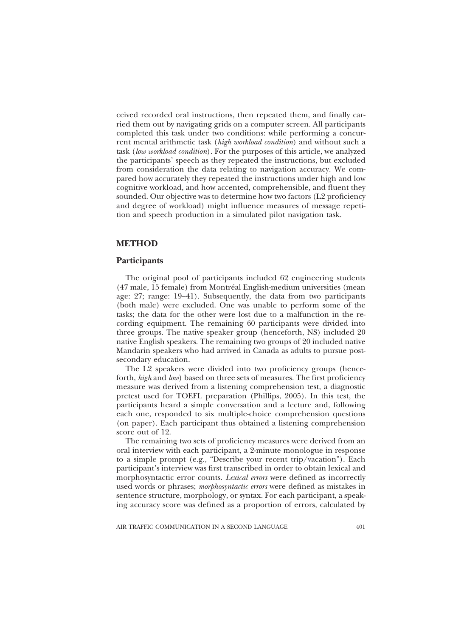ceived recorded oral instructions, then repeated them, and finally carried them out by navigating grids on a computer screen. All participants completed this task under two conditions: while performing a concurrent mental arithmetic task (high workload condition) and without such a task (low workload condition). For the purposes of this article, we analyzed the participants' speech as they repeated the instructions, but excluded from consideration the data relating to navigation accuracy. We compared how accurately they repeated the instructions under high and low cognitive workload, and how accented, comprehensible, and fluent they sounded. Our objective was to determine how two factors (L2 proficiency and degree of workload) might influence measures of message repetition and speech production in a simulated pilot navigation task.

# **METHOD**

# Participants

The original pool of participants included 62 engineering students (47 male, 15 female) from Montréal English-medium universities (mean age: 27; range: 19–41). Subsequently, the data from two participants (both male) were excluded. One was unable to perform some of the tasks; the data for the other were lost due to a malfunction in the recording equipment. The remaining 60 participants were divided into three groups. The native speaker group (henceforth, NS) included 20 native English speakers. The remaining two groups of 20 included native Mandarin speakers who had arrived in Canada as adults to pursue postsecondary education.

The L2 speakers were divided into two proficiency groups (henceforth, high and low) based on three sets of measures. The first proficiency measure was derived from a listening comprehension test, a diagnostic pretest used for TOEFL preparation (Phillips, 2005). In this test, the participants heard a simple conversation and a lecture and, following each one, responded to six multiple-choice comprehension questions (on paper). Each participant thus obtained a listening comprehension score out of 12.

The remaining two sets of proficiency measures were derived from an oral interview with each participant, a 2-minute monologue in response to a simple prompt (e.g., "Describe your recent trip/vacation"). Each participant's interview was first transcribed in order to obtain lexical and morphosyntactic error counts. Lexical errors were defined as incorrectly used words or phrases; *morphosyntactic errors* were defined as mistakes in sentence structure, morphology, or syntax. For each participant, a speaking accuracy score was defined as a proportion of errors, calculated by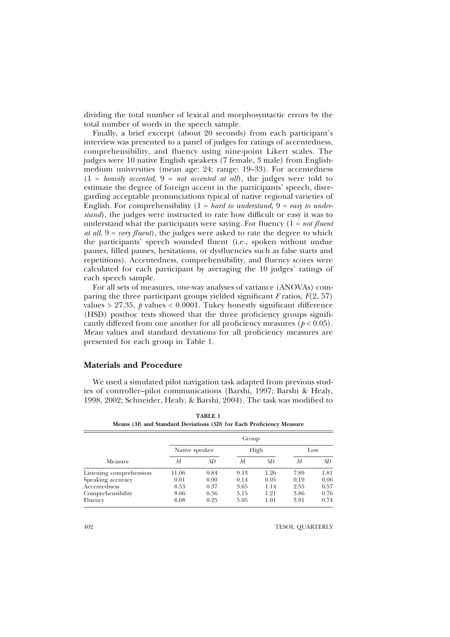dividing the total number of lexical and morphosyntactic errors by the total number of words in the speech sample.

Finally, a brief excerpt (about 20 seconds) from each participant's interview was presented to a panel of judges for ratings of accentedness, comprehensibility, and fluency using nine-point Likert scales. The judges were 10 native English speakers (7 female, 3 male) from Englishmedium universities (mean age: 24; range: 19–33). For accentedness  $(1 = \text{ heavily} \text{ accepted}, 9 = \text{not} \text{ accepted} \text{ at all})$ , the judges were told to estimate the degree of foreign accent in the participants' speech, disregarding acceptable pronunciations typical of native regional varieties of English. For comprehensibility  $(1 = hard to understand, 9 = easy to under$ stand), the judges were instructed to rate how difficult or easy it was to understand what the participants were saying. For fluency  $(1 = not$  fluent at all,  $9 = \text{very fluent}$ , the judges were asked to rate the degree to which the participants' speech sounded fluent (i.e., spoken without undue pauses, filled pauses, hesitations, or dysfluencies such as false starts and repetitions). Accentedness, comprehensibility, and fluency scores were calculated for each participant by averaging the 10 judges' ratings of each speech sample.

For all sets of measures, one-way analyses of variance (ANOVAs) comparing the three participant groups yielded significant F ratios,  $F(2, 57)$ values > 27.35,  $p$  values < 0.0001. Tukey honestly significant difference (HSD) posthoc tests showed that the three proficiency groups significantly differed from one another for all proficiency measures  $(p < 0.05)$ . Mean values and standard deviations for all proficiency measures are presented for each group in Table 1.

## **Materials and Procedure**

We used a simulated pilot navigation task adapted from previous studies of controller-pilot communications (Barshi, 1997; Barshi & Healy, 1998, 2002; Schneider, Healy, & Barshi, 2004). The task was modified to

| Measure                 | Group          |      |      |      |      |      |  |  |  |
|-------------------------|----------------|------|------|------|------|------|--|--|--|
|                         | Native speaker |      | High |      | Low  |      |  |  |  |
|                         | М              | SD   | М    | SD   | М    | SD.  |  |  |  |
| Listening comprehension | 11.06          | 0.84 | 9.13 | 1.26 | 7.89 | 1.81 |  |  |  |
| Speaking accuracy       | 0.01           | 0.00 | 0.14 | 0.05 | 0.19 | 0.06 |  |  |  |
| Accentedness            | 8.53           | 0.37 | 3.65 | 1.14 | 2.55 | 0.57 |  |  |  |
| Comprehensibility       | 8.66           | 0.56 | 5.15 | 1.21 | 3.86 | 0.76 |  |  |  |
| Fluency                 | 8.68           | 0.25 | 5.05 | 1.01 | 3.91 | 0.74 |  |  |  |

TARLE<sub>1</sub> Means (M) and Standard Deviations (SD) for Each Proficiency Measure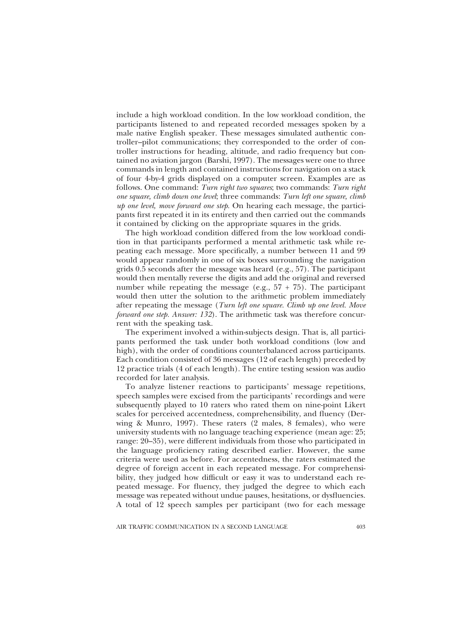include a high workload condition. In the low workload condition, the participants listened to and repeated recorded messages spoken by a male native English speaker. These messages simulated authentic controller-pilot communications; they corresponded to the order of controller instructions for heading, altitude, and radio frequency but contained no aviation jargon (Barshi, 1997). The messages were one to three commands in length and contained instructions for navigation on a stack of four 4-by-4 grids displayed on a computer screen. Examples are as follows. One command: Turn right two squares; two commands: Turn right one square, climb down one level; three commands: Turn left one square, climb up one level, move forward one step. On hearing each message, the participants first repeated it in its entirety and then carried out the commands it contained by clicking on the appropriate squares in the grids.

The high workload condition differed from the low workload condition in that participants performed a mental arithmetic task while repeating each message. More specifically, a number between 11 and 99 would appear randomly in one of six boxes surrounding the navigation grids  $0.\overline{5}$  seconds after the message was heard (e.g., 57). The participant would then mentally reverse the digits and add the original and reversed number while repeating the message (e.g.,  $57 + 75$ ). The participant would then utter the solution to the arithmetic problem immediately after repeating the message (Turn left one square. Climb up one level. Move forward one step. Answer: 132). The arithmetic task was therefore concurrent with the speaking task.

The experiment involved a within-subjects design. That is, all participants performed the task under both workload conditions (low and high), with the order of conditions counterbalanced across participants. Each condition consisted of 36 messages (12 of each length) preceded by 12 practice trials (4 of each length). The entire testing session was audio recorded for later analysis.

To analyze listener reactions to participants' message repetitions, speech samples were excised from the participants' recordings and were subsequently played to 10 raters who rated them on nine-point Likert scales for perceived accentedness, comprehensibility, and fluency (Derwing & Munro, 1997). These raters (2 males, 8 females), who were university students with no language teaching experience (mean age: 25; range: 20–35), were different individuals from those who participated in the language proficiency rating described earlier. However, the same criteria were used as before. For accentedness, the raters estimated the degree of foreign accent in each repeated message. For comprehensibility, they judged how difficult or easy it was to understand each repeated message. For fluency, they judged the degree to which each message was repeated without undue pauses, hesitations, or dysfluencies. A total of 12 speech samples per participant (two for each message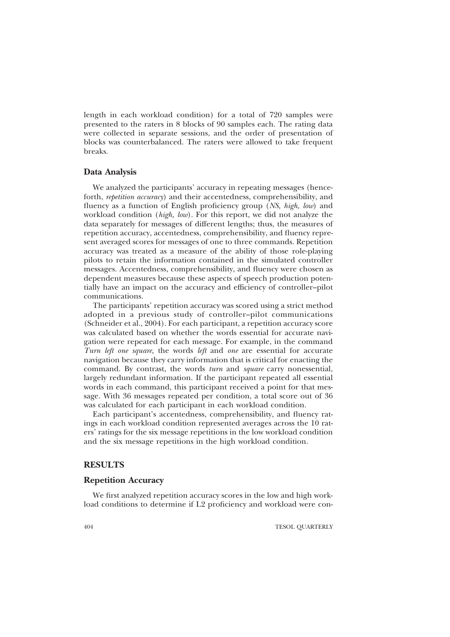length in each workload condition) for a total of 720 samples were presented to the raters in 8 blocks of 90 samples each. The rating data were collected in separate sessions, and the order of presentation of blocks was counterbalanced. The raters were allowed to take frequent breaks.

## Data Analysis

We analyzed the participants' accuracy in repeating messages (henceforth, *repetition accuracy*) and their accentedness, comprehensibility, and fluency as a function of English proficiency group (NS, high, low) and workload condition (*high, low*). For this report, we did not analyze the data separately for messages of different lengths; thus, the measures of repetition accuracy, accentedness, comprehensibility, and fluency represent averaged scores for messages of one to three commands. Repetition accuracy was treated as a measure of the ability of those role-playing pilots to retain the information contained in the simulated controller messages. Accentedness, comprehensibility, and fluency were chosen as dependent measures because these aspects of speech production potentially have an impact on the accuracy and efficiency of controller-pilot communications.

The participants' repetition accuracy was scored using a strict method adopted in a previous study of controller-pilot communications (Schneider et al., 2004). For each participant, a repetition accuracy score was calculated based on whether the words essential for accurate navigation were repeated for each message. For example, in the command Turn left one square, the words left and one are essential for accurate navigation because they carry information that is critical for enacting the command. By contrast, the words turn and square carry nonessential, largely redundant information. If the participant repeated all essential words in each command, this participant received a point for that message. With 36 messages repeated per condition, a total score out of 36 was calculated for each participant in each workload condition.

Each participant's accentedness, comprehensibility, and fluency ratings in each workload condition represented averages across the 10 raters' ratings for the six message repetitions in the low workload condition and the six message repetitions in the high workload condition.

# **RESULTS**

#### **Repetition Accuracy**

We first analyzed repetition accuracy scores in the low and high workload conditions to determine if L2 proficiency and workload were con-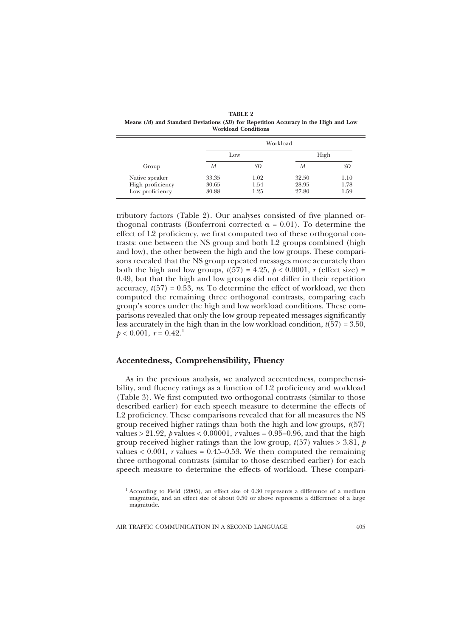| Group                                                 | Workload                |                      |                         |                      |  |  |  |
|-------------------------------------------------------|-------------------------|----------------------|-------------------------|----------------------|--|--|--|
|                                                       | Low                     |                      | High                    |                      |  |  |  |
|                                                       | M                       | SD                   | М                       | SD                   |  |  |  |
| Native speaker<br>High proficiency<br>Low proficiency | 33.35<br>30.65<br>30.88 | 1.02<br>1.54<br>1.25 | 32.50<br>28.95<br>27.80 | 1.10<br>1.78<br>1.59 |  |  |  |

**TABLE 2** Means (M) and Standard Deviations (SD) for Repetition Accuracy in the High and Low **Workload Conditions** 

tributory factors (Table 2). Our analyses consisted of five planned orthogonal contrasts (Bonferroni corrected  $\alpha = 0.01$ ). To determine the effect of L2 proficiency, we first computed two of these orthogonal contrasts: one between the NS group and both L2 groups combined (high and low), the other between the high and the low groups. These comparisons revealed that the NS group repeated messages more accurately than both the high and low groups,  $t(57) = 4.25$ ,  $p < 0.0001$ , r (effect size) = 0.49, but that the high and low groups did not differ in their repetition accuracy,  $t(57) = 0.53$ , *ns.* To determine the effect of workload, we then computed the remaining three orthogonal contrasts, comparing each group's scores under the high and low workload conditions. These comparisons revealed that only the low group repeated messages significantly less accurately in the high than in the low workload condition,  $t(57) = 3.50$ ,  $p < 0.001$ ,  $r = 0.42$ <sup>1</sup>

# **Accentedness, Comprehensibility, Fluency**

As in the previous analysis, we analyzed accentedness, comprehensibility, and fluency ratings as a function of L2 proficiency and workload (Table 3). We first computed two orthogonal contrasts (similar to those described earlier) for each speech measure to determine the effects of L2 proficiency. These comparisons revealed that for all measures the NS group received higher ratings than both the high and low groups,  $t(57)$ values > 21.92,  $p$  values < 0.00001,  $r$  values = 0.95–0.96, and that the high group received higher ratings than the low group,  $t(57)$  values > 3.81,  $\dot{p}$ values  $< 0.001$ , r values = 0.45–0.53. We then computed the remaining three orthogonal contrasts (similar to those described earlier) for each speech measure to determine the effects of workload. These compari-

 $1$  According to Field (2005), an effect size of 0.30 represents a difference of a medium magnitude, and an effect size of about 0.50 or above represents a difference of a large magnitude.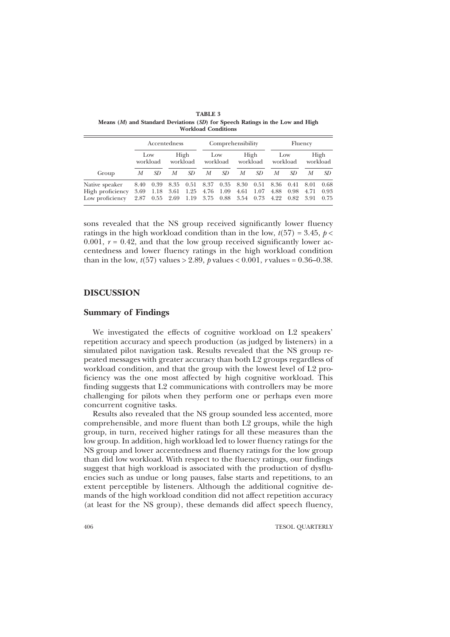| Group                                                 | Accentedness         |              |                             |                           | Comprehensibility |                   |                           |                      | Fluency              |                      |                      |                      |
|-------------------------------------------------------|----------------------|--------------|-----------------------------|---------------------------|-------------------|-------------------|---------------------------|----------------------|----------------------|----------------------|----------------------|----------------------|
|                                                       | Low<br>workload      |              | High<br>workload            |                           | Low<br>workload   |                   | High<br>workload          |                      | Low<br>workload      |                      | High<br>workload     |                      |
|                                                       | М                    | SD.          | М                           | SD                        | М                 | SD                | М                         | SD.                  | М                    | SD                   | М                    | SD                   |
| Native speaker<br>High proficiency<br>Low proficiency | 8.40<br>3.69<br>2.87 | 0.39<br>1.18 | 8.35<br>3.61<br>$0.55$ 2.69 | 0.51<br>1.25<br>1.19 3.75 | 8.37              | 0.35<br>4.76 1.09 | 8.30<br>4.61<br>0.88 3.54 | 0.51<br>1.07<br>0.73 | 8.36<br>4.88<br>4.22 | 0.41<br>0.98<br>0.82 | 8.01<br>4.71<br>3.91 | 0.68<br>0.93<br>0.75 |

**TABLE 3** Means (M) and Standard Deviations (SD) for Speech Ratings in the Low and High **Workload Conditions** 

sons revealed that the NS group received significantly lower fluency ratings in the high workload condition than in the low,  $t(57) = 3.45$ ,  $p <$  $0.001$ ,  $r = 0.42$ , and that the low group received significantly lower accentedness and lower fluency ratings in the high workload condition than in the low,  $t(57)$  values > 2.89, p values < 0.001, r values = 0.36–0.38.

#### **DISCUSSION**

## **Summary of Findings**

We investigated the effects of cognitive workload on L2 speakers' repetition accuracy and speech production (as judged by listeners) in a simulated pilot navigation task. Results revealed that the NS group repeated messages with greater accuracy than both L2 groups regardless of workload condition, and that the group with the lowest level of L2 proficiency was the one most affected by high cognitive workload. This finding suggests that L2 communications with controllers may be more challenging for pilots when they perform one or perhaps even more concurrent cognitive tasks.

Results also revealed that the NS group sounded less accented, more comprehensible, and more fluent than both L2 groups, while the high group, in turn, received higher ratings for all these measures than the low group. In addition, high workload led to lower fluency ratings for the NS group and lower accentedness and fluency ratings for the low group than did low workload. With respect to the fluency ratings, our findings suggest that high workload is associated with the production of dysfluencies such as undue or long pauses, false starts and repetitions, to an extent perceptible by listeners. Although the additional cognitive demands of the high workload condition did not affect repetition accuracy (at least for the NS group), these demands did affect speech fluency,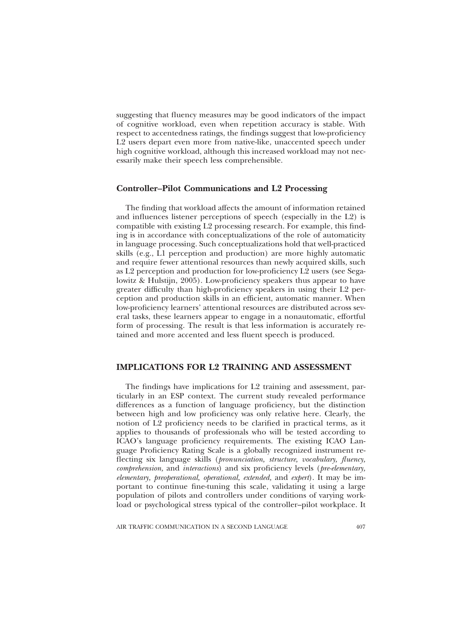suggesting that fluency measures may be good indicators of the impact of cognitive workload, even when repetition accuracy is stable. With respect to accentedness ratings, the findings suggest that low-proficiency L2 users depart even more from native-like, unaccented speech under high cognitive workload, although this increased workload may not necessarily make their speech less comprehensible.

# **Controller-Pilot Communications and L2 Processing**

The finding that workload affects the amount of information retained and influences listener perceptions of speech (especially in the L2) is compatible with existing L2 processing research. For example, this finding is in accordance with conceptualizations of the role of automaticity in language processing. Such conceptualizations hold that well-practiced skills (e.g., L1 perception and production) are more highly automatic and require fewer attentional resources than newly acquired skills, such as L2 perception and production for low-proficiency L2 users (see Segalowitz & Hulstijn, 2005). Low-proficiency speakers thus appear to have greater difficulty than high-proficiency speakers in using their L2 perception and production skills in an efficient, automatic manner. When low-proficiency learners' attentional resources are distributed across several tasks, these learners appear to engage in a nonautomatic, effortful form of processing. The result is that less information is accurately retained and more accented and less fluent speech is produced.

# **IMPLICATIONS FOR L2 TRAINING AND ASSESSMENT**

The findings have implications for L2 training and assessment, particularly in an ESP context. The current study revealed performance differences as a function of language proficiency, but the distinction between high and low proficiency was only relative here. Clearly, the notion of L2 proficiency needs to be clarified in practical terms, as it applies to thousands of professionals who will be tested according to ICAO's language proficiency requirements. The existing ICAO Language Proficiency Rating Scale is a globally recognized instrument reflecting six language skills (*pronunciation*, *structure*, *vocabulary*, *fluency*, comprehension, and interactions) and six proficiency levels (pre-elementary, elementary, preoperational, operational, extended, and expert). It may be important to continue fine-tuning this scale, validating it using a large population of pilots and controllers under conditions of varying workload or psychological stress typical of the controller-pilot workplace. It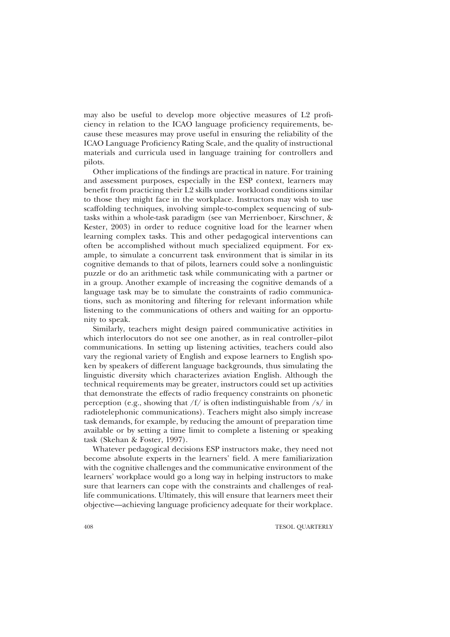may also be useful to develop more objective measures of L2 proficiency in relation to the ICAO language proficiency requirements, because these measures may prove useful in ensuring the reliability of the ICAO Language Proficiency Rating Scale, and the quality of instructional materials and curricula used in language training for controllers and pilots.

Other implications of the findings are practical in nature. For training and assessment purposes, especially in the ESP context, learners may benefit from practicing their L2 skills under workload conditions similar to those they might face in the workplace. Instructors may wish to use scaffolding techniques, involving simple-to-complex sequencing of subtasks within a whole-task paradigm (see van Merrienboer, Kirschner, & Kester, 2003) in order to reduce cognitive load for the learner when learning complex tasks. This and other pedagogical interventions can often be accomplished without much specialized equipment. For example, to simulate a concurrent task environment that is similar in its cognitive demands to that of pilots, learners could solve a nonlinguistic puzzle or do an arithmetic task while communicating with a partner or in a group. Another example of increasing the cognitive demands of a language task may be to simulate the constraints of radio communications, such as monitoring and filtering for relevant information while listening to the communications of others and waiting for an opportunity to speak.

Similarly, teachers might design paired communicative activities in which interlocutors do not see one another, as in real controller-pilot communications. In setting up listening activities, teachers could also vary the regional variety of English and expose learners to English spoken by speakers of different language backgrounds, thus simulating the linguistic diversity which characterizes aviation English. Although the technical requirements may be greater, instructors could set up activities that demonstrate the effects of radio frequency constraints on phonetic perception (e.g., showing that  $/f/$  is often indistinguishable from /s/ in radiotelephonic communications). Teachers might also simply increase task demands, for example, by reducing the amount of preparation time available or by setting a time limit to complete a listening or speaking task (Skehan & Foster, 1997).

Whatever pedagogical decisions ESP instructors make, they need not become absolute experts in the learners' field. A mere familiarization with the cognitive challenges and the communicative environment of the learners' workplace would go a long way in helping instructors to make sure that learners can cope with the constraints and challenges of reallife communications. Ultimately, this will ensure that learners meet their objective—achieving language proficiency adequate for their workplace.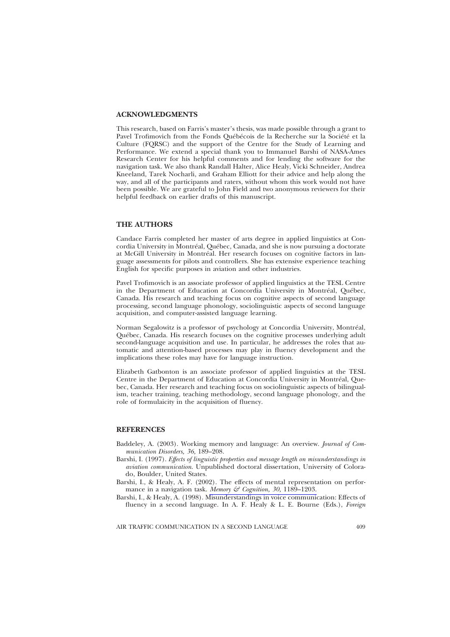#### **ACKNOWLEDGMENTS**

This research, based on Farris's master's thesis, was made possible through a grant to Pavel Trofimovich from the Fonds Québécois de la Recherche sur la Société et la Culture (FQRSC) and the support of the Centre for the Study of Learning and Performance. We extend a special thank you to Immanuel Barshi of NASA-Ames Research Center for his helpful comments and for lending the software for the navigation task. We also thank Randall Halter, Alice Healy, Vicki Schneider, Andrea Kneeland, Tarek Nocharli, and Graham Elliott for their advice and help along the way, and all of the participants and raters, without whom this work would not have been possible. We are grateful to John Field and two anonymous reviewers for their helpful feedback on earlier drafts of this manuscript.

#### **THE AUTHORS**

Candace Farris completed her master of arts degree in applied linguistics at Concordia University in Montréal, Québec, Canada, and she is now pursuing a doctorate at McGill University in Montréal. Her research focuses on cognitive factors in language assessments for pilots and controllers. She has extensive experience teaching English for specific purposes in aviation and other industries.

Pavel Trofimovich is an associate professor of applied linguistics at the TESL Centre in the Department of Education at Concordia University in Montréal, Québec, Canada. His research and teaching focus on cognitive aspects of second language processing, second language phonology, sociolinguistic aspects of second language acquisition, and computer-assisted language learning.

Norman Segalowitz is a professor of psychology at Concordia University, Montréal, Québec, Canada. His research focuses on the cognitive processes underlying adult second-language acquisition and use. In particular, he addresses the roles that automatic and attention-based processes may play in fluency development and the implications these roles may have for language instruction.

Elizabeth Gatbonton is an associate professor of applied linguistics at the TESL Centre in the Department of Education at Concordia University in Montréal, Quebec, Canada. Her research and teaching focus on sociolinguistic aspects of bilingualism, teacher training, teaching methodology, second language phonology, and the role of formulaicity in the acquisition of fluency.

#### **REFERENCES**

- Baddeley, A. (2003). Working memory and language: An overview. Journal of Communication Disorders, 36, 189-208.
- Barshi, I. (1997). *Effects of linguistic properties and message length on misunderstandings in* aviation communication. Unpublished doctoral dissertation, University of Colorado, Boulder, United States.
- Barshi, I., & Healy, A. F. (2002). The effects of mental representation on performance in a navigation task. Memory & Cognition, 30, 1189-1203.
- Barshi, I., & Healy, A. (1998). Misunderstandings in voice communication: Effects of fluency in a second language. In A. F. Healy & L. E. Bourne (Eds.), Foreign